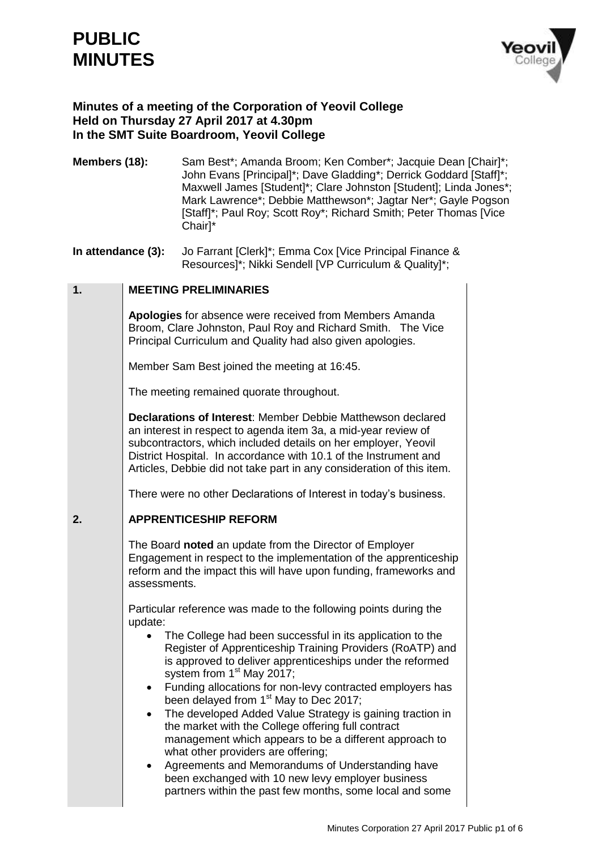# **PUBLIC MINUTES**



## **Minutes of a meeting of the Corporation of Yeovil College Held on Thursday 27 April 2017 at 4.30pm In the SMT Suite Boardroom, Yeovil College**

**Members (18):** Sam Best<sup>\*</sup>; Amanda Broom; Ken Comber<sup>\*</sup>; Jacquie Dean [Chair]<sup>\*</sup>; John Evans [Principal]\*; Dave Gladding\*; Derrick Goddard [Staff]\*; Maxwell James [Student]\*; Clare Johnston [Student]; Linda Jones\*; Mark Lawrence\*; Debbie Matthewson\*; Jagtar Ner\*; Gayle Pogson [Staff]\*; Paul Roy; Scott Roy\*; Richard Smith; Peter Thomas [Vice Chair]\*

**In attendance (3):** Jo Farrant [Clerk]\*; Emma Cox [Vice Principal Finance & Resources]\*; Nikki Sendell [VP Curriculum & Quality]\*;

#### **1. MEETING PRELIMINARIES**

**Apologies** for absence were received from Members Amanda Broom, Clare Johnston, Paul Roy and Richard Smith. The Vice Principal Curriculum and Quality had also given apologies.

Member Sam Best joined the meeting at 16:45.

The meeting remained quorate throughout.

**Declarations of Interest**: Member Debbie Matthewson declared an interest in respect to agenda item 3a, a mid-year review of subcontractors, which included details on her employer, Yeovil District Hospital. In accordance with 10.1 of the Instrument and Articles, Debbie did not take part in any consideration of this item.

There were no other Declarations of Interest in today's business.

#### **2. APPRENTICESHIP REFORM**

The Board **noted** an update from the Director of Employer Engagement in respect to the implementation of the apprenticeship reform and the impact this will have upon funding, frameworks and assessments.

Particular reference was made to the following points during the update:

- The College had been successful in its application to the Register of Apprenticeship Training Providers (RoATP) and is approved to deliver apprenticeships under the reformed system from 1<sup>st</sup> May 2017;
- Funding allocations for non-levy contracted employers has been delayed from 1<sup>st</sup> May to Dec 2017;
- The developed Added Value Strategy is gaining traction in the market with the College offering full contract management which appears to be a different approach to what other providers are offering;
- Agreements and Memorandums of Understanding have been exchanged with 10 new levy employer business partners within the past few months, some local and some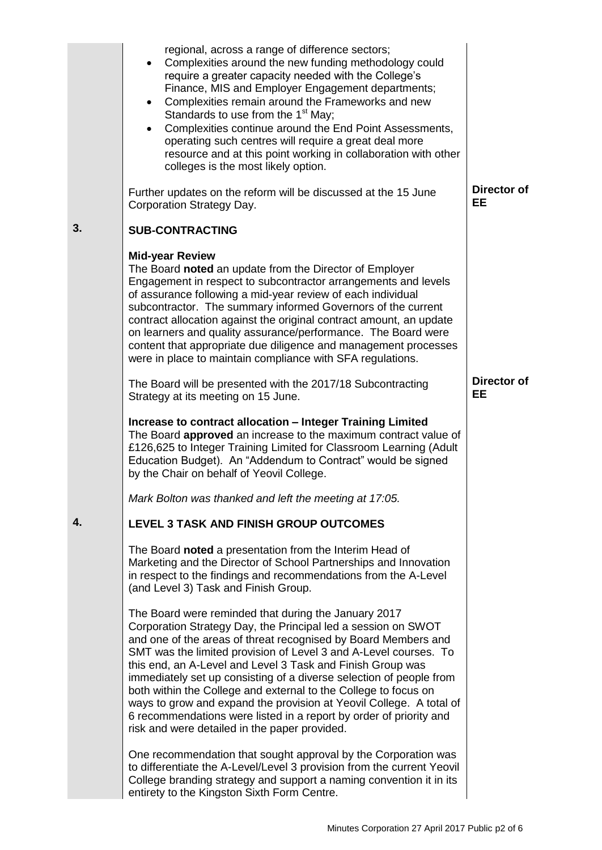|    | regional, across a range of difference sectors;<br>Complexities around the new funding methodology could<br>require a greater capacity needed with the College's<br>Finance, MIS and Employer Engagement departments;<br>Complexities remain around the Frameworks and new<br>$\bullet$<br>Standards to use from the 1 <sup>st</sup> May;<br>Complexities continue around the End Point Assessments,<br>operating such centres will require a great deal more<br>resource and at this point working in collaboration with other<br>colleges is the most likely option.                                                                                            |                                 |
|----|-------------------------------------------------------------------------------------------------------------------------------------------------------------------------------------------------------------------------------------------------------------------------------------------------------------------------------------------------------------------------------------------------------------------------------------------------------------------------------------------------------------------------------------------------------------------------------------------------------------------------------------------------------------------|---------------------------------|
|    | Further updates on the reform will be discussed at the 15 June<br>Corporation Strategy Day.                                                                                                                                                                                                                                                                                                                                                                                                                                                                                                                                                                       | Director of<br>EE               |
| 3. | <b>SUB-CONTRACTING</b>                                                                                                                                                                                                                                                                                                                                                                                                                                                                                                                                                                                                                                            |                                 |
|    | <b>Mid-year Review</b><br>The Board noted an update from the Director of Employer<br>Engagement in respect to subcontractor arrangements and levels<br>of assurance following a mid-year review of each individual<br>subcontractor. The summary informed Governors of the current<br>contract allocation against the original contract amount, an update<br>on learners and quality assurance/performance. The Board were<br>content that appropriate due diligence and management processes<br>were in place to maintain compliance with SFA regulations.                                                                                                       |                                 |
|    | The Board will be presented with the 2017/18 Subcontracting<br>Strategy at its meeting on 15 June.                                                                                                                                                                                                                                                                                                                                                                                                                                                                                                                                                                | <b>Director of</b><br><b>EE</b> |
|    | Increase to contract allocation - Integer Training Limited<br>The Board approved an increase to the maximum contract value of<br>£126,625 to Integer Training Limited for Classroom Learning (Adult<br>Education Budget). An "Addendum to Contract" would be signed<br>by the Chair on behalf of Yeovil College.                                                                                                                                                                                                                                                                                                                                                  |                                 |
|    | Mark Bolton was thanked and left the meeting at 17:05.                                                                                                                                                                                                                                                                                                                                                                                                                                                                                                                                                                                                            |                                 |
| 4. | LEVEL 3 TASK AND FINISH GROUP OUTCOMES                                                                                                                                                                                                                                                                                                                                                                                                                                                                                                                                                                                                                            |                                 |
|    | The Board noted a presentation from the Interim Head of<br>Marketing and the Director of School Partnerships and Innovation<br>in respect to the findings and recommendations from the A-Level<br>(and Level 3) Task and Finish Group.                                                                                                                                                                                                                                                                                                                                                                                                                            |                                 |
|    | The Board were reminded that during the January 2017<br>Corporation Strategy Day, the Principal led a session on SWOT<br>and one of the areas of threat recognised by Board Members and<br>SMT was the limited provision of Level 3 and A-Level courses. To<br>this end, an A-Level and Level 3 Task and Finish Group was<br>immediately set up consisting of a diverse selection of people from<br>both within the College and external to the College to focus on<br>ways to grow and expand the provision at Yeovil College. A total of<br>6 recommendations were listed in a report by order of priority and<br>risk and were detailed in the paper provided. |                                 |
|    | One recommendation that sought approval by the Corporation was<br>to differentiate the A-Level/Level 3 provision from the current Yeovil<br>College branding strategy and support a naming convention it in its<br>entirety to the Kingston Sixth Form Centre.                                                                                                                                                                                                                                                                                                                                                                                                    |                                 |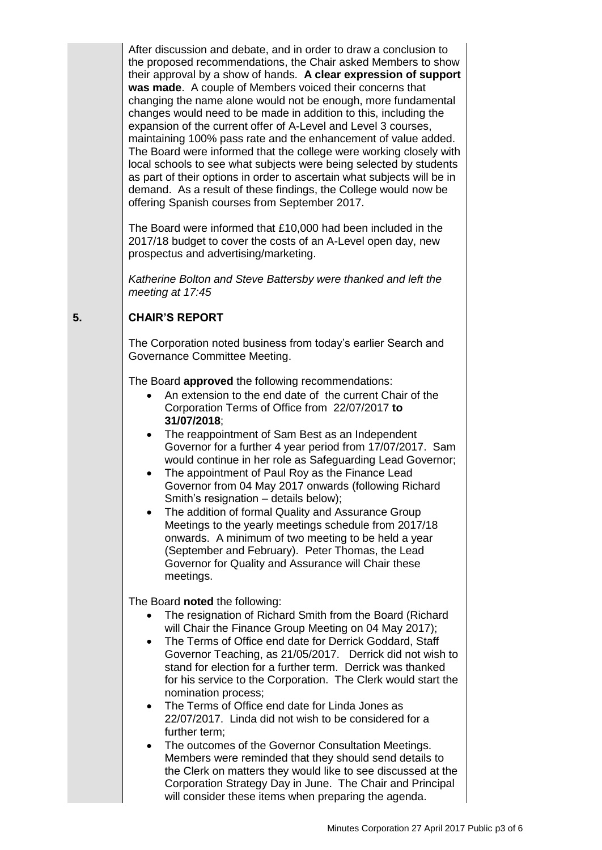After discussion and debate, and in order to draw a conclusion to the proposed recommendations, the Chair asked Members to show their approval by a show of hands. **A clear expression of support was made**. A couple of Members voiced their concerns that changing the name alone would not be enough, more fundamental changes would need to be made in addition to this, including the expansion of the current offer of A-Level and Level 3 courses, maintaining 100% pass rate and the enhancement of value added. The Board were informed that the college were working closely with local schools to see what subjects were being selected by students as part of their options in order to ascertain what subjects will be in demand. As a result of these findings, the College would now be offering Spanish courses from September 2017.

The Board were informed that £10,000 had been included in the 2017/18 budget to cover the costs of an A-Level open day, new prospectus and advertising/marketing.

*Katherine Bolton and Steve Battersby were thanked and left the meeting at 17:45*

#### **5. CHAIR'S REPORT**

The Corporation noted business from today's earlier Search and Governance Committee Meeting.

The Board **approved** the following recommendations:

- An extension to the end date of the current Chair of the Corporation Terms of Office from 22/07/2017 **to 31/07/2018**;
- The reappointment of Sam Best as an Independent Governor for a further 4 year period from 17/07/2017. Sam would continue in her role as Safeguarding Lead Governor;
- The appointment of Paul Roy as the Finance Lead Governor from 04 May 2017 onwards (following Richard Smith's resignation – details below);
- The addition of formal Quality and Assurance Group Meetings to the yearly meetings schedule from 2017/18 onwards. A minimum of two meeting to be held a year (September and February). Peter Thomas, the Lead Governor for Quality and Assurance will Chair these meetings.

The Board **noted** the following:

- The resignation of Richard Smith from the Board (Richard will Chair the Finance Group Meeting on 04 May 2017);
- The Terms of Office end date for Derrick Goddard, Staff Governor Teaching, as 21/05/2017. Derrick did not wish to stand for election for a further term. Derrick was thanked for his service to the Corporation. The Clerk would start the nomination process;
- The Terms of Office end date for Linda Jones as 22/07/2017. Linda did not wish to be considered for a further term;
- The outcomes of the Governor Consultation Meetings. Members were reminded that they should send details to the Clerk on matters they would like to see discussed at the Corporation Strategy Day in June. The Chair and Principal will consider these items when preparing the agenda.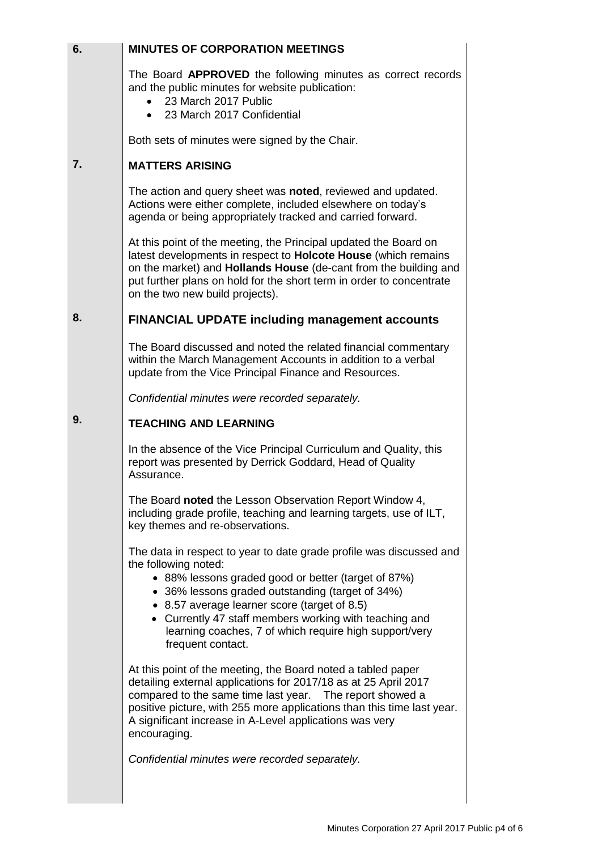| 6. | <b>MINUTES OF CORPORATION MEETINGS</b>                                                                                                                                                                                                                                                                                                                                                          |
|----|-------------------------------------------------------------------------------------------------------------------------------------------------------------------------------------------------------------------------------------------------------------------------------------------------------------------------------------------------------------------------------------------------|
|    | The Board APPROVED the following minutes as correct records<br>and the public minutes for website publication:<br>23 March 2017 Public<br>23 March 2017 Confidential                                                                                                                                                                                                                            |
|    | Both sets of minutes were signed by the Chair.                                                                                                                                                                                                                                                                                                                                                  |
| 7. | <b>MATTERS ARISING</b>                                                                                                                                                                                                                                                                                                                                                                          |
|    | The action and query sheet was <b>noted</b> , reviewed and updated.<br>Actions were either complete, included elsewhere on today's<br>agenda or being appropriately tracked and carried forward.                                                                                                                                                                                                |
|    | At this point of the meeting, the Principal updated the Board on<br>latest developments in respect to Holcote House (which remains<br>on the market) and <b>Hollands House</b> (de-cant from the building and<br>put further plans on hold for the short term in order to concentrate<br>on the two new build projects).                                                                        |
| 8. | <b>FINANCIAL UPDATE including management accounts</b>                                                                                                                                                                                                                                                                                                                                           |
|    | The Board discussed and noted the related financial commentary<br>within the March Management Accounts in addition to a verbal<br>update from the Vice Principal Finance and Resources.                                                                                                                                                                                                         |
|    | Confidential minutes were recorded separately.                                                                                                                                                                                                                                                                                                                                                  |
| 9. | <b>TEACHING AND LEARNING</b>                                                                                                                                                                                                                                                                                                                                                                    |
|    | In the absence of the Vice Principal Curriculum and Quality, this<br>report was presented by Derrick Goddard, Head of Quality<br>Assurance.                                                                                                                                                                                                                                                     |
|    | The Board noted the Lesson Observation Report Window 4,<br>including grade profile, teaching and learning targets, use of ILT,<br>key themes and re-observations.                                                                                                                                                                                                                               |
|    | The data in respect to year to date grade profile was discussed and<br>the following noted:<br>• 88% lessons graded good or better (target of 87%)<br>• 36% lessons graded outstanding (target of 34%)<br>• 8.57 average learner score (target of 8.5)<br>• Currently 47 staff members working with teaching and<br>learning coaches, 7 of which require high support/very<br>frequent contact. |
|    | At this point of the meeting, the Board noted a tabled paper<br>detailing external applications for 2017/18 as at 25 April 2017<br>compared to the same time last year.  The report showed a<br>positive picture, with 255 more applications than this time last year.<br>A significant increase in A-Level applications was very<br>encouraging.                                               |
|    | Confidential minutes were recorded separately.                                                                                                                                                                                                                                                                                                                                                  |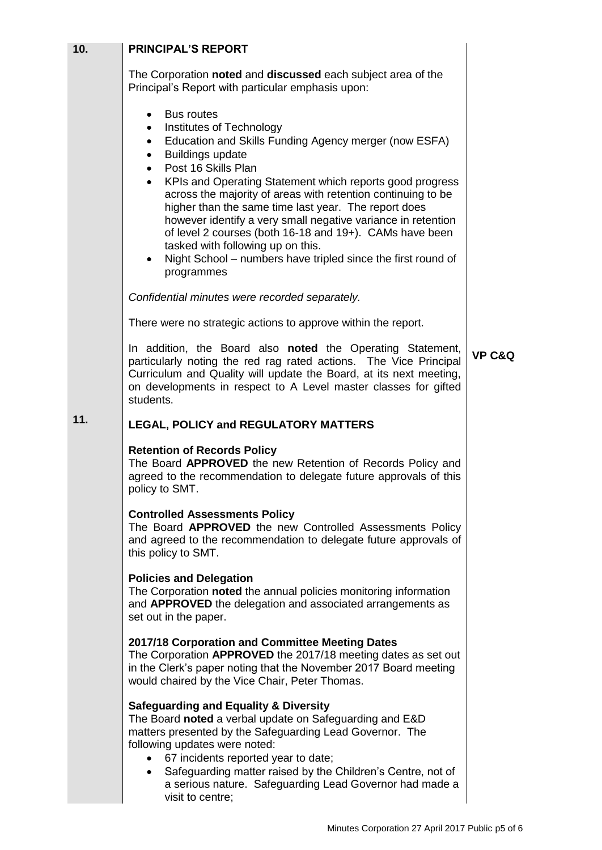| 10. | <b>PRINCIPAL'S REPORT</b>                                                                                                                                                                                                                                                                                                                                                                                                                                                                                                                                                                                                                                             |                   |
|-----|-----------------------------------------------------------------------------------------------------------------------------------------------------------------------------------------------------------------------------------------------------------------------------------------------------------------------------------------------------------------------------------------------------------------------------------------------------------------------------------------------------------------------------------------------------------------------------------------------------------------------------------------------------------------------|-------------------|
|     | The Corporation noted and discussed each subject area of the<br>Principal's Report with particular emphasis upon:                                                                                                                                                                                                                                                                                                                                                                                                                                                                                                                                                     |                   |
|     | <b>Bus routes</b><br>$\bullet$<br>Institutes of Technology<br>$\bullet$<br>Education and Skills Funding Agency merger (now ESFA)<br>٠<br><b>Buildings update</b><br>٠<br>Post 16 Skills Plan<br>$\bullet$<br>KPIs and Operating Statement which reports good progress<br>$\bullet$<br>across the majority of areas with retention continuing to be<br>higher than the same time last year. The report does<br>however identify a very small negative variance in retention<br>of level 2 courses (both 16-18 and 19+). CAMs have been<br>tasked with following up on this.<br>Night School – numbers have tripled since the first round of<br>$\bullet$<br>programmes |                   |
|     | Confidential minutes were recorded separately.                                                                                                                                                                                                                                                                                                                                                                                                                                                                                                                                                                                                                        |                   |
|     | There were no strategic actions to approve within the report.                                                                                                                                                                                                                                                                                                                                                                                                                                                                                                                                                                                                         |                   |
|     | In addition, the Board also noted the Operating Statement,<br>particularly noting the red rag rated actions. The Vice Principal<br>Curriculum and Quality will update the Board, at its next meeting,<br>on developments in respect to A Level master classes for gifted<br>students.                                                                                                                                                                                                                                                                                                                                                                                 | <b>VP C&amp;Q</b> |
| 11. | <b>LEGAL, POLICY and REGULATORY MATTERS</b>                                                                                                                                                                                                                                                                                                                                                                                                                                                                                                                                                                                                                           |                   |
|     | <b>Retention of Records Policy</b><br>The Board APPROVED the new Retention of Records Policy and<br>agreed to the recommendation to delegate future approvals of this<br>policy to SMT.                                                                                                                                                                                                                                                                                                                                                                                                                                                                               |                   |
|     | <b>Controlled Assessments Policy</b><br>The Board APPROVED the new Controlled Assessments Policy<br>and agreed to the recommendation to delegate future approvals of<br>this policy to SMT.                                                                                                                                                                                                                                                                                                                                                                                                                                                                           |                   |
|     | <b>Policies and Delegation</b><br>The Corporation noted the annual policies monitoring information<br>and APPROVED the delegation and associated arrangements as<br>set out in the paper.                                                                                                                                                                                                                                                                                                                                                                                                                                                                             |                   |
|     | 2017/18 Corporation and Committee Meeting Dates<br>The Corporation APPROVED the 2017/18 meeting dates as set out<br>in the Clerk's paper noting that the November 2017 Board meeting<br>would chaired by the Vice Chair, Peter Thomas.                                                                                                                                                                                                                                                                                                                                                                                                                                |                   |
|     | <b>Safeguarding and Equality &amp; Diversity</b><br>The Board noted a verbal update on Safeguarding and E&D<br>matters presented by the Safeguarding Lead Governor. The<br>following updates were noted:<br>67 incidents reported year to date;<br>$\bullet$<br>Safeguarding matter raised by the Children's Centre, not of<br>$\bullet$<br>a serious nature. Safeguarding Lead Governor had made a<br>visit to centre;                                                                                                                                                                                                                                               |                   |